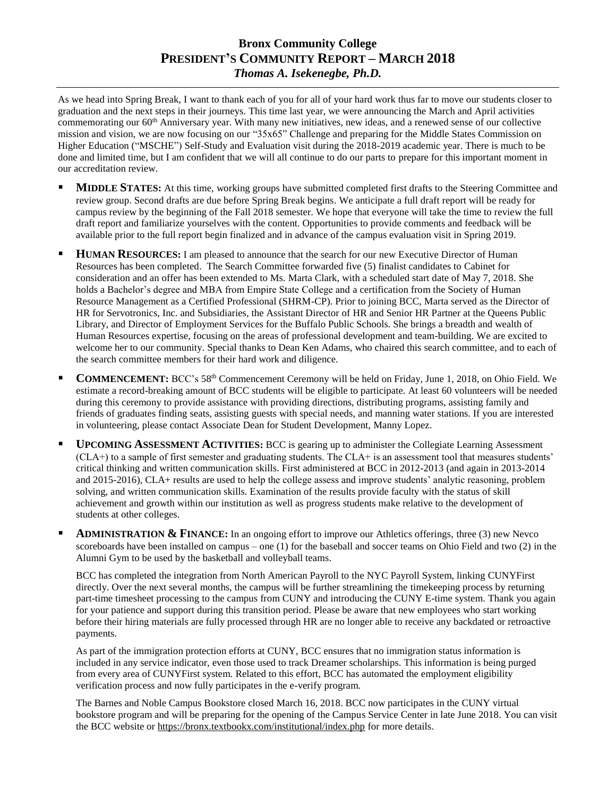## **Bronx Community College PRESIDENT'S COMMUNITY REPORT – MARCH 2018** *Thomas A. Isekenegbe, Ph.D.*

As we head into Spring Break, I want to thank each of you for all of your hard work thus far to move our students closer to graduation and the next steps in their journeys. This time last year, we were announcing the March and April activities commemorating our 60th Anniversary year. With many new initiatives, new ideas, and a renewed sense of our collective mission and vision, we are now focusing on our "35x65" Challenge and preparing for the Middle States Commission on Higher Education ("MSCHE") Self-Study and Evaluation visit during the 2018-2019 academic year. There is much to be done and limited time, but I am confident that we will all continue to do our parts to prepare for this important moment in our accreditation review.

- **MIDDLE STATES:** At this time, working groups have submitted completed first drafts to the Steering Committee and review group. Second drafts are due before Spring Break begins. We anticipate a full draft report will be ready for campus review by the beginning of the Fall 2018 semester. We hope that everyone will take the time to review the full draft report and familiarize yourselves with the content. Opportunities to provide comments and feedback will be available prior to the full report begin finalized and in advance of the campus evaluation visit in Spring 2019.
- **HUMAN RESOURCES:** I am pleased to announce that the search for our new Executive Director of Human Resources has been completed. The Search Committee forwarded five (5) finalist candidates to Cabinet for consideration and an offer has been extended to Ms. Marta Clark, with a scheduled start date of May 7, 2018. She holds a Bachelor's degree and MBA from Empire State College and a certification from the Society of Human Resource Management as a Certified Professional (SHRM-CP). Prior to joining BCC, Marta served as the Director of HR for Servotronics, Inc. and Subsidiaries, the Assistant Director of HR and Senior HR Partner at the Queens Public Library, and Director of Employment Services for the Buffalo Public Schools. She brings a breadth and wealth of Human Resources expertise, focusing on the areas of professional development and team-building. We are excited to welcome her to our community. Special thanks to Dean Ken Adams, who chaired this search committee, and to each of the search committee members for their hard work and diligence.
- **COMMENCEMENT:** BCC's 58th Commencement Ceremony will be held on Friday, June 1, 2018, on Ohio Field. We estimate a record-breaking amount of BCC students will be eligible to participate. At least 60 volunteers will be needed during this ceremony to provide assistance with providing directions, distributing programs, assisting family and friends of graduates finding seats, assisting guests with special needs, and manning water stations. If you are interested in volunteering, please contact Associate Dean for Student Development, Manny Lopez.
- **UPCOMING ASSESSMENT ACTIVITIES:** BCC is gearing up to administer the Collegiate Learning Assessment (CLA+) to a sample of first semester and graduating students. The CLA+ is an assessment tool that measures students' critical thinking and written communication skills. First administered at BCC in 2012-2013 (and again in 2013-2014 and 2015-2016), CLA+ results are used to help the college assess and improve students' analytic reasoning, problem solving, and written communication skills. Examination of the results provide faculty with the status of skill achievement and growth within our institution as well as progress students make relative to the development of students at other colleges.
- **ADMINISTRATION & FINANCE:** In an ongoing effort to improve our Athletics offerings, three (3) new Nevco scoreboards have been installed on campus – one (1) for the baseball and soccer teams on Ohio Field and two (2) in the Alumni Gym to be used by the basketball and volleyball teams.

BCC has completed the integration from North American Payroll to the NYC Payroll System, linking CUNYFirst directly. Over the next several months, the campus will be further streamlining the timekeeping process by returning part-time timesheet processing to the campus from CUNY and introducing the CUNY E-time system. Thank you again for your patience and support during this transition period. Please be aware that new employees who start working before their hiring materials are fully processed through HR are no longer able to receive any backdated or retroactive payments.

As part of the immigration protection efforts at CUNY, BCC ensures that no immigration status information is included in any service indicator, even those used to track Dreamer scholarships. This information is being purged from every area of CUNYFirst system. Related to this effort, BCC has automated the employment eligibility verification process and now fully participates in the e-verify program.

The Barnes and Noble Campus Bookstore closed March 16, 2018. BCC now participates in the CUNY virtual bookstore program and will be preparing for the opening of the Campus Service Center in late June 2018. You can visit the BCC website o[r https://bronx.textbookx.com/institutional/index.php](https://bronx.textbookx.com/institutional/index.php) for more details.